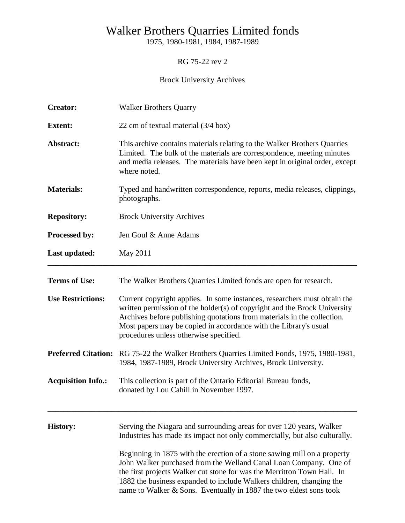# Walker Brothers Quarries Limited fonds

1975, 1980-1981, 1984, 1987-1989

RG 75-22 rev 2

## Brock University Archives

| <b>Creator:</b>           | <b>Walker Brothers Quarry</b>                                                                                                                                                                                                                                                                                                                                                                                                                                                                                                |  |  |
|---------------------------|------------------------------------------------------------------------------------------------------------------------------------------------------------------------------------------------------------------------------------------------------------------------------------------------------------------------------------------------------------------------------------------------------------------------------------------------------------------------------------------------------------------------------|--|--|
| <b>Extent:</b>            | 22 cm of textual material (3/4 box)                                                                                                                                                                                                                                                                                                                                                                                                                                                                                          |  |  |
| Abstract:                 | This archive contains materials relating to the Walker Brothers Quarries<br>Limited. The bulk of the materials are correspondence, meeting minutes<br>and media releases. The materials have been kept in original order, except<br>where noted.                                                                                                                                                                                                                                                                             |  |  |
| <b>Materials:</b>         | Typed and handwritten correspondence, reports, media releases, clippings,<br>photographs.                                                                                                                                                                                                                                                                                                                                                                                                                                    |  |  |
| <b>Repository:</b>        | <b>Brock University Archives</b>                                                                                                                                                                                                                                                                                                                                                                                                                                                                                             |  |  |
| Processed by:             | Jen Goul & Anne Adams                                                                                                                                                                                                                                                                                                                                                                                                                                                                                                        |  |  |
| Last updated:             | May 2011                                                                                                                                                                                                                                                                                                                                                                                                                                                                                                                     |  |  |
| <b>Terms of Use:</b>      | The Walker Brothers Quarries Limited fonds are open for research.                                                                                                                                                                                                                                                                                                                                                                                                                                                            |  |  |
| <b>Use Restrictions:</b>  | Current copyright applies. In some instances, researchers must obtain the<br>written permission of the holder(s) of copyright and the Brock University<br>Archives before publishing quotations from materials in the collection.<br>Most papers may be copied in accordance with the Library's usual<br>procedures unless otherwise specified.                                                                                                                                                                              |  |  |
|                           | <b>Preferred Citation:</b> RG 75-22 the Walker Brothers Quarries Limited Fonds, 1975, 1980-1981,<br>1984, 1987-1989, Brock University Archives, Brock University.                                                                                                                                                                                                                                                                                                                                                            |  |  |
| <b>Acquisition Info.:</b> | This collection is part of the Ontario Editorial Bureau fonds,<br>donated by Lou Cahill in November 1997.                                                                                                                                                                                                                                                                                                                                                                                                                    |  |  |
| <b>History:</b>           | Serving the Niagara and surrounding areas for over 120 years, Walker<br>Industries has made its impact not only commercially, but also culturally.<br>Beginning in 1875 with the erection of a stone sawing mill on a property<br>John Walker purchased from the Welland Canal Loan Company. One of<br>the first projects Walker cut stone for was the Merritton Town Hall. In<br>1882 the business expanded to include Walkers children, changing the<br>name to Walker & Sons. Eventually in 1887 the two eldest sons took |  |  |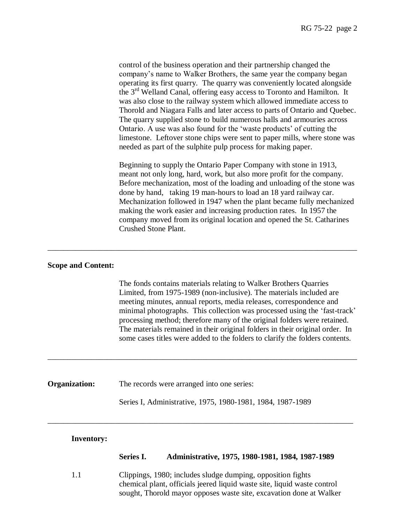control of the business operation and their partnership changed the company"s name to Walker Brothers, the same year the company began operating its first quarry. The quarry was conveniently located alongside the 3rd Welland Canal, offering easy access to Toronto and Hamilton. It was also close to the railway system which allowed immediate access to Thorold and Niagara Falls and later access to parts of Ontario and Quebec. The quarry supplied stone to build numerous halls and armouries across Ontario. A use was also found for the "waste products" of cutting the limestone. Leftover stone chips were sent to paper mills, where stone was needed as part of the sulphite pulp process for making paper.

Beginning to supply the Ontario Paper Company with stone in 1913, meant not only long, hard, work, but also more profit for the company. Before mechanization, most of the loading and unloading of the stone was done by hand, taking 19 man-hours to load an 18 yard railway car. Mechanization followed in 1947 when the plant became fully mechanized making the work easier and increasing production rates. In 1957 the company moved from its original location and opened the St. Catharines Crushed Stone Plant.

#### **Scope and Content:**

The fonds contains materials relating to Walker Brothers Quarries Limited, from 1975-1989 (non-inclusive). The materials included are meeting minutes, annual reports, media releases, correspondence and minimal photographs. This collection was processed using the "fast-track" processing method; therefore many of the original folders were retained. The materials remained in their original folders in their original order. In some cases titles were added to the folders to clarify the folders contents.

**Organization:** The records were arranged into one series:

Series I, Administrative, 1975, 1980-1981, 1984, 1987-1989

\_\_\_\_\_\_\_\_\_\_\_\_\_\_\_\_\_\_\_\_\_\_\_\_\_\_\_\_\_\_\_\_\_\_\_\_\_\_\_\_\_\_\_\_\_\_\_\_\_\_\_\_\_\_\_\_\_\_\_\_\_\_\_\_\_\_\_\_\_\_\_\_\_\_\_\_\_\_

\_\_\_\_\_\_\_\_\_\_\_\_\_\_\_\_\_\_\_\_\_\_\_\_\_\_\_\_\_\_\_\_\_\_\_\_\_\_\_\_\_\_\_\_\_\_\_\_\_\_\_\_\_\_\_\_\_\_\_\_\_\_\_\_\_\_\_\_\_\_\_\_\_\_\_\_\_\_

\_\_\_\_\_\_\_\_\_\_\_\_\_\_\_\_\_\_\_\_\_\_\_\_\_\_\_\_\_\_\_\_\_\_\_\_\_\_\_\_\_\_\_\_\_\_\_\_\_\_\_\_\_\_\_\_\_\_\_\_\_\_\_\_\_\_\_\_\_\_\_\_\_\_\_\_\_

#### **Inventory:**

### **Series I. Administrative, 1975, 1980-1981, 1984, 1987-1989**

1.1 Clippings, 1980; includes sludge dumping, opposition fights chemical plant, officials jeered liquid waste site, liquid waste control sought, Thorold mayor opposes waste site, excavation done at Walker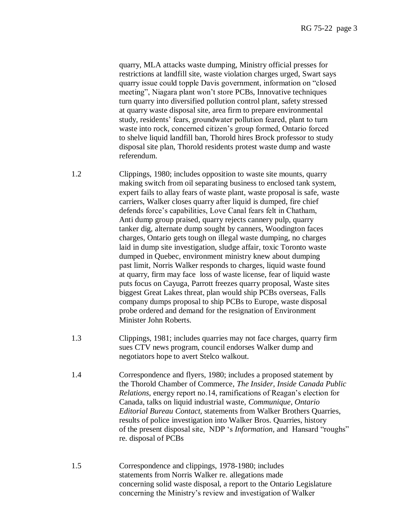quarry, MLA attacks waste dumping, Ministry official presses for restrictions at landfill site, waste violation charges urged, Swart says quarry issue could topple Davis government, information on "closed meeting", Niagara plant won"t store PCBs, Innovative techniques turn quarry into diversified pollution control plant, safety stressed at quarry waste disposal site, area firm to prepare environmental study, residents" fears, groundwater pollution feared, plant to turn waste into rock, concerned citizen"s group formed, Ontario forced to shelve liquid landfill ban, Thorold hires Brock professor to study disposal site plan, Thorold residents protest waste dump and waste referendum.

1.2 Clippings, 1980; includes opposition to waste site mounts, quarry making switch from oil separating business to enclosed tank system, expert fails to allay fears of waste plant, waste proposal is safe, waste carriers, Walker closes quarry after liquid is dumped, fire chief defends force"s capabilities, Love Canal fears felt in Chatham, Anti dump group praised, quarry rejects cannery pulp, quarry tanker dig, alternate dump sought by canners, Woodington faces charges, Ontario gets tough on illegal waste dumping, no charges laid in dump site investigation, sludge affair, toxic Toronto waste dumped in Quebec, environment ministry knew about dumping past limit, Norris Walker responds to charges, liquid waste found at quarry, firm may face loss of waste license, fear of liquid waste puts focus on Cayuga, Parrott freezes quarry proposal, Waste sites biggest Great Lakes threat, plan would ship PCBs overseas, Falls company dumps proposal to ship PCBs to Europe, waste disposal probe ordered and demand for the resignation of Environment Minister John Roberts.

- 1.3 Clippings, 1981; includes quarries may not face charges, quarry firm sues CTV news program, council endorses Walker dump and negotiators hope to avert Stelco walkout.
- 1.4 Correspondence and flyers, 1980; includes a proposed statement by the Thorold Chamber of Commerce, *The Insider, Inside Canada Public Relations, energy report no.14, ramifications of Reagan's election for*  Canada, talks on liquid industrial waste, *Communique, Ontario Editorial Bureau Contact,* statements from Walker Brothers Quarries, results of police investigation into Walker Bros. Quarries, history of the present disposal site, NDP "s *Information,* and Hansard "roughs" re. disposal of PCBs
- 1.5 Correspondence and clippings, 1978-1980; includes statements from Norris Walker re. allegations made concerning solid waste disposal, a report to the Ontario Legislature concerning the Ministry"s review and investigation of Walker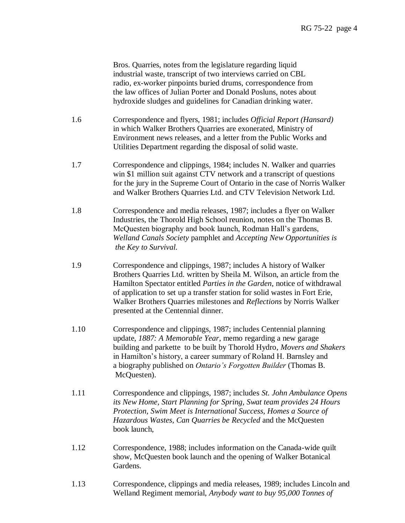Bros. Quarries, notes from the legislature regarding liquid industrial waste, transcript of two interviews carried on CBL radio, ex-worker pinpoints buried drums, correspondence from the law offices of Julian Porter and Donald Posluns, notes about hydroxide sludges and guidelines for Canadian drinking water.

- 1.6 Correspondence and flyers, 1981; includes *Official Report (Hansard)* in which Walker Brothers Quarries are exonerated, Ministry of Environment news releases, and a letter from the Public Works and Utilities Department regarding the disposal of solid waste.
- 1.7 Correspondence and clippings, 1984; includes N. Walker and quarries win \$1 million suit against CTV network and a transcript of questions for the jury in the Supreme Court of Ontario in the case of Norris Walker and Walker Brothers Quarries Ltd. and CTV Television Network Ltd.
- 1.8 Correspondence and media releases, 1987; includes a flyer on Walker Industries, the Thorold High School reunion, notes on the Thomas B. McQuesten biography and book launch, Rodman Hall"s gardens, *Welland Canals Society* pamphlet and *Accepting New Opportunities is the Key to Survival.*
- 1.9 Correspondence and clippings, 1987; includes A history of Walker Brothers Quarries Ltd. written by Sheila M. Wilson, an article from the Hamilton Spectator entitled *Parties in the Garden*, notice of withdrawal of application to set up a transfer station for solid wastes in Fort Erie, Walker Brothers Quarries milestones and *Reflections* by Norris Walker presented at the Centennial dinner.
- 1.10 Correspondence and clippings, 1987; includes Centennial planning update, *1887: A Memorable Year*, memo regarding a new garage building and parkette to be built by Thorold Hydro, *Movers and Shakers* in Hamilton's history, a career summary of Roland H. Barnsley and a biography published on *Ontario's Forgotten Builder* (Thomas B. McQuesten).
- 1.11 Correspondence and clippings, 1987; includes *St. John Ambulance Opens its New Home, Start Planning for Spring, Swat team provides 24 Hours Protection, Swim Meet is International Success, Homes a Source of Hazardous Wastes, Can Quarries be Recycled* and the McQuesten book launch,
- 1.12 Correspondence, 1988; includes information on the Canada-wide quilt show, McQuesten book launch and the opening of Walker Botanical Gardens.
- 1.13 Correspondence, clippings and media releases, 1989; includes Lincoln and Welland Regiment memorial, *Anybody want to buy 95,000 Tonnes of*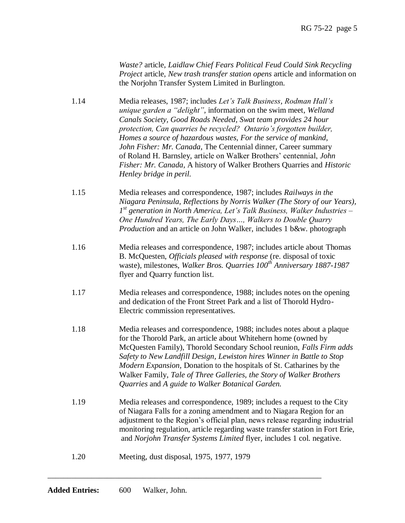*Waste?* article, *Laidlaw Chief Fears Political Feud Could Sink Recycling Project* article, *New trash transfer station opens* article and information on the Norjohn Transfer System Limited in Burlington.

- 1.14 Media releases, 1987; includes *Let's Talk Business, Rodman Hall's unique garden a "delight",* information on the swim meet, *Welland Canals Society, Good Roads Needed, Swat team provides 24 hour protection, Can quarries be recycled? Ontario's forgotten builder, Homes a source of hazardous wastes, For the service of mankind, John Fisher: Mr. Canada,* The Centennial dinner, Career summary of Roland H. Barnsley, article on Walker Brothers" centennial, *John Fisher: Mr. Canada,* A history of Walker Brothers Quarries and *Historic Henley bridge in peril.*
- 1.15 Media releases and correspondence, 1987; includes *Railways in the Niagara Peninsula, Reflections by Norris Walker (The Story of our Years), <i>1 st generation in North America, Let's Talk Business, Walker Industries – One Hundred Years, The Early Days…, Walkers to Double Quarry Production* and an article on John Walker, includes 1 b&w. photograph
- 1.16 Media releases and correspondence, 1987; includes article about Thomas B. McQuesten, *Officials pleased with response* (re. disposal of toxic waste), milestones, *Walker Bros. Quarries 100th Anniversary 1887-1987* flyer and Quarry function list.
- 1.17 Media releases and correspondence, 1988; includes notes on the opening and dedication of the Front Street Park and a list of Thorold Hydro- Electric commission representatives.
- 1.18 Media releases and correspondence, 1988; includes notes about a plaque for the Thorold Park, an article about Whitehern home (owned by McQuesten Family), Thorold Secondary School reunion, *Falls Firm adds Safety to New Landfill Design, Lewiston hires Winner in Battle to Stop Modern Expansion,* Donation to the hospitals of St. Catharines by the Walker Family, *Tale of Three Galleries, the Story of Walker Brothers Quarries* and *A guide to Walker Botanical Garden.*
- 1.19 Media releases and correspondence, 1989; includes a request to the City of Niagara Falls for a zoning amendment and to Niagara Region for an adjustment to the Region"s official plan, news release regarding industrial monitoring regulation, article regarding waste transfer station in Fort Erie, and *Norjohn Transfer Systems Limited* flyer, includes 1 col. negative.
- 1.20 Meeting, dust disposal, 1975, 1977, 1979

\_\_\_\_\_\_\_\_\_\_\_\_\_\_\_\_\_\_\_\_\_\_\_\_\_\_\_\_\_\_\_\_\_\_\_\_\_\_\_\_\_\_\_\_\_\_\_\_\_\_\_\_\_\_\_\_\_\_\_\_\_\_\_\_\_\_\_\_\_